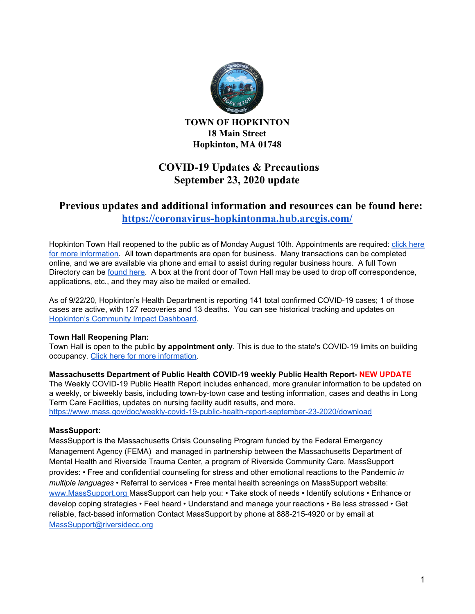

**TOWN OF HOPKINTON 18 Main Street Hopkinton, MA 01748**

# **COVID-19 Updates & Precautions September 23, 2020 update**

## **Previous updates and additional information and resources can be found here: <https://coronavirus-hopkintonma.hub.arcgis.com/>**

Hopkinton Town Hall reopened to the public as of Monday August 10th. Appointments are required: click [here](https://www.hopkintonma.gov/Hopkinton%20Town%20Hall%20Reopening%20Plan%208-7-2020.pdf) for more [information.](https://www.hopkintonma.gov/Hopkinton%20Town%20Hall%20Reopening%20Plan%208-7-2020.pdf) All town departments are open for business. Many transactions can be completed online, and we are available via phone and email to assist during regular business hours. A full Town Directory can be [found](https://www.hopkintonma.gov/departments/index.php) here. A box at the front door of Town Hall may be used to drop off correspondence, applications, etc., and they may also be mailed or emailed.

As of 9/22/20, Hopkinton's Health Department is reporting 141 total confirmed COVID-19 cases; 1 of those cases are active, with 127 recoveries and 13 deaths. You can see historical tracking and updates on [Hopkinton's](https://hopkintonma.maps.arcgis.com/apps/opsdashboard/index.html#/01aa244939e540aeb2991ec71392d431) Community Impact Dashboard.

### **Town Hall Reopening Plan:**

Town Hall is open to the public **by appointment only**. This is due to the state's COVID-19 limits on building occupancy. Click here for more [information.](https://www.hopkintonma.gov/Hopkinton%20Town%20Hall%20Reopening%20Plan%208-7-2020.pdf)

**Massachusetts Department of Public Health COVID-19 weekly Public Health Report- NEW UPDATE** The Weekly COVID-19 Public Health Report includes enhanced, more granular information to be updated on a weekly, or biweekly basis, including town-by-town case and testing information, cases and deaths in Long Term Care Facilities, updates on nursing facility audit results, and more. <https://www.mass.gov/doc/weekly-covid-19-public-health-report-september-23-2020/download>

**MassSupport:**

MassSupport is the Massachusetts Crisis Counseling Program funded by the Federal Emergency Management Agency (FEMA) and managed in partnership between the Massachusetts Department of Mental Health and Riverside Trauma Center, a program of Riverside Community Care. MassSupport provides: • Free and confidential counseling for stress and other emotional reactions to the Pandemic *in multiple languages* • Referral to services • Free mental health screenings on MassSupport website: [www.MassSupport.org](http://www.masssupport.org/) MassSupport can help you: • Take stock of needs • Identify solutions • Enhance or develop coping strategies • Feel heard • Understand and manage your reactions • Be less stressed • Get reliable, fact-based information Contact MassSupport by phone at 888-215-4920 or by email at [MassSupport@riversidecc.org](mailto:MassSupport@riversidecc.org)